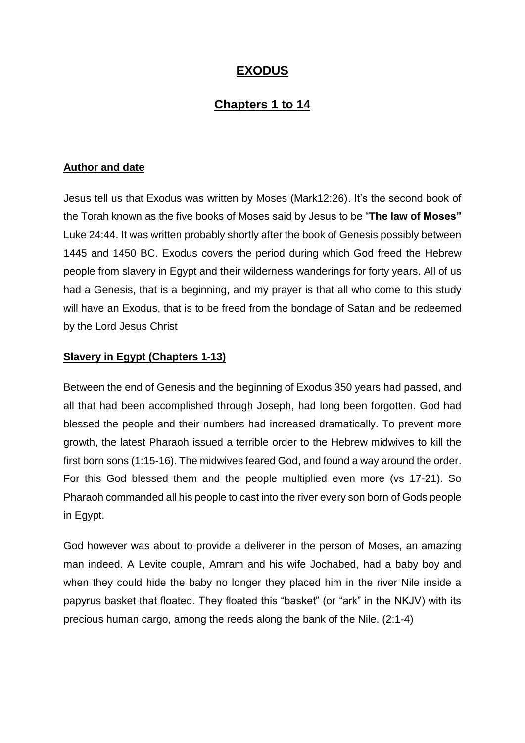# **EXODUS**

# **Chapters 1 to 14**

#### **Author and date**

Jesus tell us that Exodus was written by Moses (Mark12:26). It's the second book of the Torah known as the five books of Moses said by Jesus to be "**The law of Moses"**  Luke 24:44. It was written probably shortly after the book of Genesis possibly between 1445 and 1450 BC. Exodus covers the period during which God freed the Hebrew people from slavery in Egypt and their wilderness wanderings for forty years. All of us had a Genesis, that is a beginning, and my prayer is that all who come to this study will have an Exodus, that is to be freed from the bondage of Satan and be redeemed by the Lord Jesus Christ

### **Slavery in Egypt (Chapters 1-13)**

Between the end of Genesis and the beginning of Exodus 350 years had passed, and all that had been accomplished through Joseph, had long been forgotten. God had blessed the people and their numbers had increased dramatically. To prevent more growth, the latest Pharaoh issued a terrible order to the Hebrew midwives to kill the first born sons (1:15-16). The midwives feared God, and found a way around the order. For this God blessed them and the people multiplied even more (vs 17-21). So Pharaoh commanded all his people to cast into the river every son born of Gods people in Egypt.

God however was about to provide a deliverer in the person of Moses, an amazing man indeed. A Levite couple, Amram and his wife Jochabed, had a baby boy and when they could hide the baby no longer they placed him in the river Nile inside a papyrus basket that floated. They floated this "basket" (or "ark" in the NKJV) with its precious human cargo, among the reeds along the bank of the Nile. (2:1-4)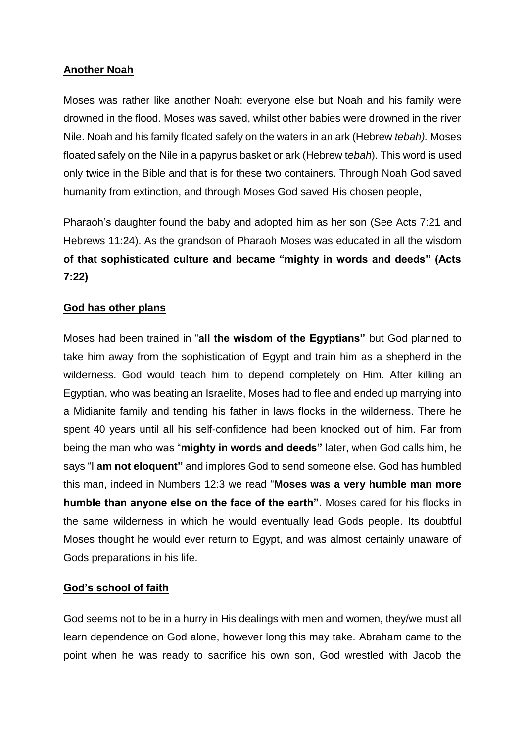### **Another Noah**

Moses was rather like another Noah: everyone else but Noah and his family were drowned in the flood. Moses was saved, whilst other babies were drowned in the river Nile. Noah and his family floated safely on the waters in an ark (Hebrew *tebah).* Moses floated safely on the Nile in a papyrus basket or ark (Hebrew t*ebah*). This word is used only twice in the Bible and that is for these two containers. Through Noah God saved humanity from extinction, and through Moses God saved His chosen people,

Pharaoh's daughter found the baby and adopted him as her son (See Acts 7:21 and Hebrews 11:24). As the grandson of Pharaoh Moses was educated in all the wisdom **of that sophisticated culture and became "mighty in words and deeds" (Acts 7:22)**

### **God has other plans**

Moses had been trained in "**all the wisdom of the Egyptians"** but God planned to take him away from the sophistication of Egypt and train him as a shepherd in the wilderness. God would teach him to depend completely on Him. After killing an Egyptian, who was beating an Israelite, Moses had to flee and ended up marrying into a Midianite family and tending his father in laws flocks in the wilderness. There he spent 40 years until all his self-confidence had been knocked out of him. Far from being the man who was "**mighty in words and deeds"** later, when God calls him, he says "I **am not eloquent"** and implores God to send someone else. God has humbled this man, indeed in Numbers 12:3 we read "**Moses was a very humble man more humble than anyone else on the face of the earth".** Moses cared for his flocks in the same wilderness in which he would eventually lead Gods people. Its doubtful Moses thought he would ever return to Egypt, and was almost certainly unaware of Gods preparations in his life.

#### **God's school of faith**

God seems not to be in a hurry in His dealings with men and women, they/we must all learn dependence on God alone, however long this may take. Abraham came to the point when he was ready to sacrifice his own son, God wrestled with Jacob the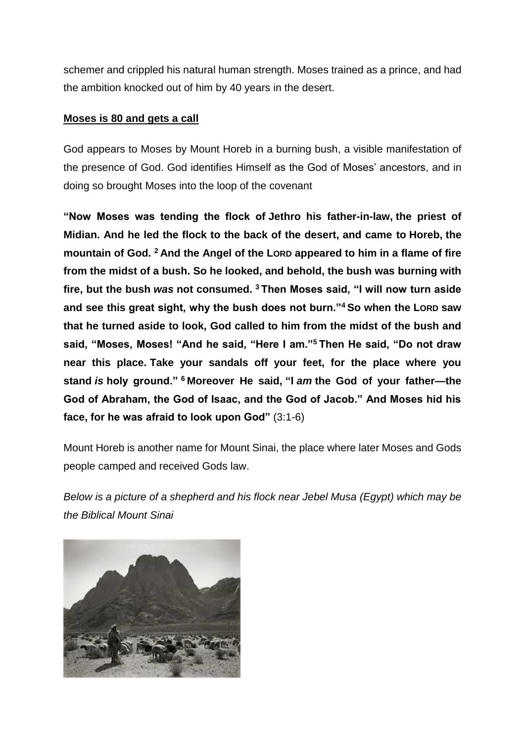schemer and crippled his natural human strength. Moses trained as a prince, and had the ambition knocked out of him by 40 years in the desert.

### **Moses is 80 and gets a call**

God appears to Moses by Mount Horeb in a burning bush, a visible manifestation of the presence of God. God identifies Himself as the God of Moses' ancestors, and in doing so brought Moses into the loop of the covenant

**"Now Moses was tending the flock of Jethro his father-in-law, the priest of Midian. And he led the flock to the back of the desert, and came to Horeb, the mountain of God. <sup>2</sup> And the Angel of the LORD appeared to him in a flame of fire from the midst of a bush. So he looked, and behold, the bush was burning with fire, but the bush** *was* **not consumed. <sup>3</sup> Then Moses said, "I will now turn aside and see this great sight, why the bush does not burn."<sup>4</sup> So when the LORD saw that he turned aside to look, God called to him from the midst of the bush and said, "Moses, Moses! "And he said, "Here I am."<sup>5</sup> Then He said, "Do not draw near this place. Take your sandals off your feet, for the place where you stand** *is* **holy ground." <sup>6</sup> Moreover He said, "I** *am* **the God of your father—the God of Abraham, the God of Isaac, and the God of Jacob." And Moses hid his face, for he was afraid to look upon God"** (3:1-6)

Mount Horeb is another name for Mount Sinai, the place where later Moses and Gods people camped and received Gods law.

*Below is a picture of a shepherd and his flock near Jebel Musa (Egypt) which may be the Biblical Mount Sinai*

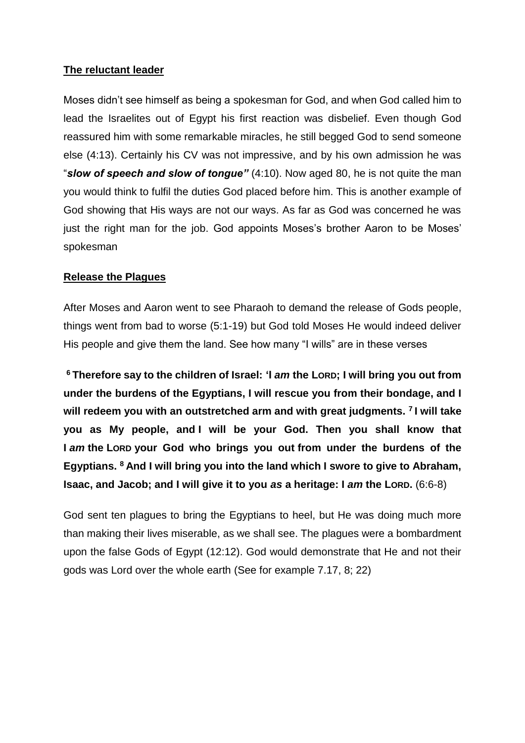### **The reluctant leader**

Moses didn't see himself as being a spokesman for God, and when God called him to lead the Israelites out of Egypt his first reaction was disbelief. Even though God reassured him with some remarkable miracles, he still begged God to send someone else (4:13). Certainly his CV was not impressive, and by his own admission he was "*slow of speech and slow of tongue"* (4:10). Now aged 80, he is not quite the man you would think to fulfil the duties God placed before him. This is another example of God showing that His ways are not our ways. As far as God was concerned he was just the right man for the job. God appoints Moses's brother Aaron to be Moses' spokesman

### **Release the Plagues**

After Moses and Aaron went to see Pharaoh to demand the release of Gods people, things went from bad to worse (5:1-19) but God told Moses He would indeed deliver His people and give them the land. See how many "I wills" are in these verses

**<sup>6</sup> Therefore say to the children of Israel: 'I** *am* **the LORD; I will bring you out from under the burdens of the Egyptians, I will rescue you from their bondage, and I will redeem you with an outstretched arm and with great judgments. <sup>7</sup> I will take you as My people, and I will be your God. Then you shall know that I** *am* **the LORD your God who brings you out from under the burdens of the Egyptians. <sup>8</sup> And I will bring you into the land which I swore to give to Abraham, Isaac, and Jacob; and I will give it to you** *as* **a heritage: I** *am* **the LORD.** (6:6-8)

God sent ten plagues to bring the Egyptians to heel, but He was doing much more than making their lives miserable, as we shall see. The plagues were a bombardment upon the false Gods of Egypt (12:12). God would demonstrate that He and not their gods was Lord over the whole earth (See for example 7.17, 8; 22)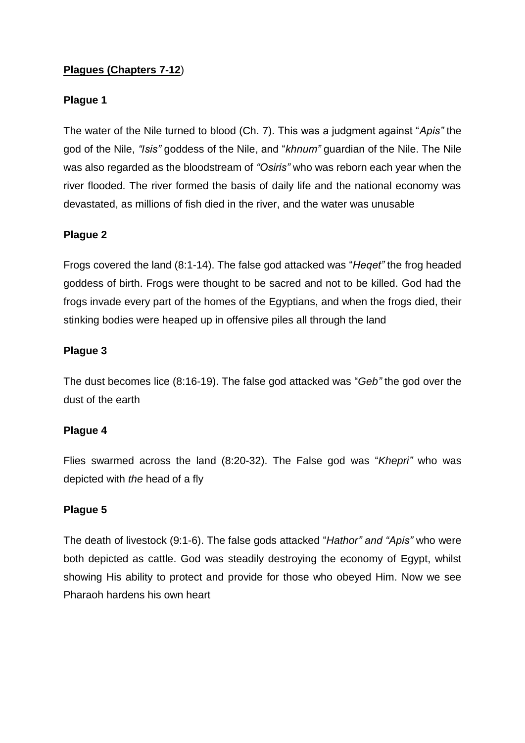## **Plagues (Chapters 7-12**)

#### **Plague 1**

The water of the Nile turned to blood (Ch. 7). This was a judgment against "*Apis"* the god of the Nile, *"Isis"* goddess of the Nile, and "*khnum"* guardian of the Nile. The Nile was also regarded as the bloodstream of *"Osiris"* who was reborn each year when the river flooded. The river formed the basis of daily life and the national economy was devastated, as millions of fish died in the river, and the water was unusable

### **Plague 2**

Frogs covered the land (8:1-14). The false god attacked was "*Heqet"* the frog headed goddess of birth. Frogs were thought to be sacred and not to be killed. God had the frogs invade every part of the homes of the Egyptians, and when the frogs died, their stinking bodies were heaped up in offensive piles all through the land

### **Plague 3**

The dust becomes lice (8:16-19). The false god attacked was "*Geb"* the god over the dust of the earth

#### **Plague 4**

Flies swarmed across the land (8:20-32). The False god was "*Khepri"* who was depicted with *the* head of a fly

#### **Plague 5**

The death of livestock (9:1-6). The false gods attacked "*Hathor" and "Apis"* who were both depicted as cattle. God was steadily destroying the economy of Egypt, whilst showing His ability to protect and provide for those who obeyed Him. Now we see Pharaoh hardens his own heart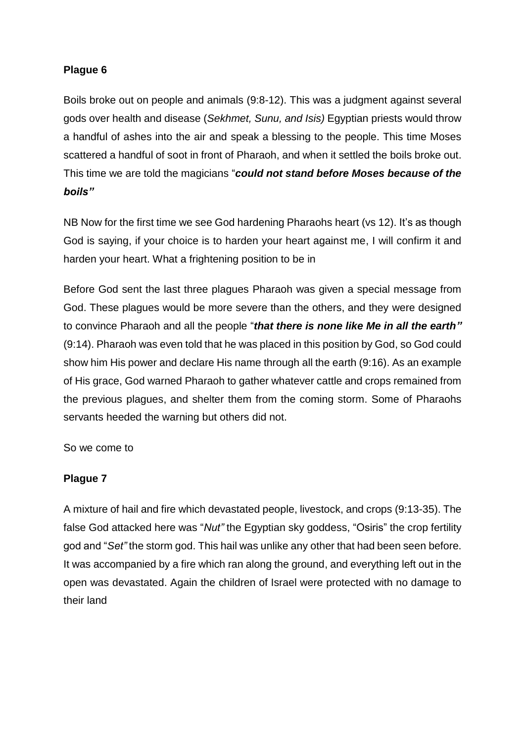# **Plague 6**

Boils broke out on people and animals (9:8-12). This was a judgment against several gods over health and disease (*Sekhmet, Sunu, and Isis)* Egyptian priests would throw a handful of ashes into the air and speak a blessing to the people. This time Moses scattered a handful of soot in front of Pharaoh, and when it settled the boils broke out. This time we are told the magicians "*could not stand before Moses because of the boils"*

NB Now for the first time we see God hardening Pharaohs heart (vs 12). It's as though God is saying, if your choice is to harden your heart against me, I will confirm it and harden your heart. What a frightening position to be in

Before God sent the last three plagues Pharaoh was given a special message from God. These plagues would be more severe than the others, and they were designed to convince Pharaoh and all the people "*that there is none like Me in all the earth"*  (9:14). Pharaoh was even told that he was placed in this position by God, so God could show him His power and declare His name through all the earth (9:16). As an example of His grace, God warned Pharaoh to gather whatever cattle and crops remained from the previous plagues, and shelter them from the coming storm. Some of Pharaohs servants heeded the warning but others did not.

So we come to

## **Plague 7**

A mixture of hail and fire which devastated people, livestock, and crops (9:13-35). The false God attacked here was "*Nut"* the Egyptian sky goddess, "Osiris" the crop fertility god and "*Set"* the storm god. This hail was unlike any other that had been seen before. It was accompanied by a fire which ran along the ground, and everything left out in the open was devastated. Again the children of Israel were protected with no damage to their land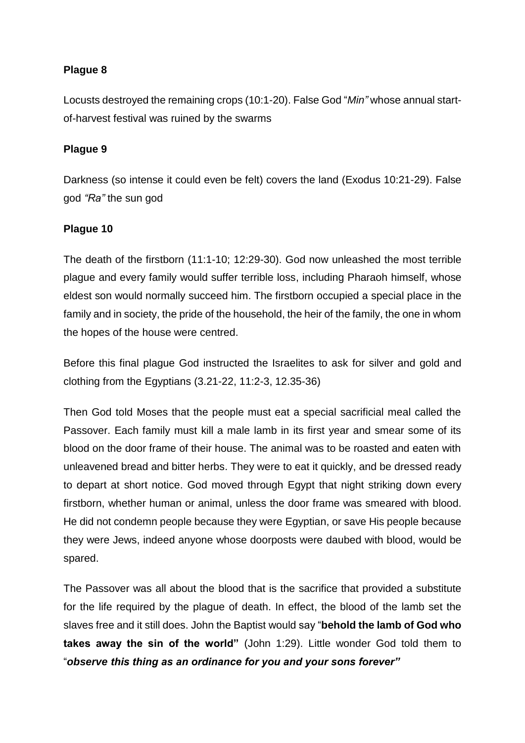# **Plague 8**

Locusts destroyed the remaining crops (10:1-20). False God "*Min"* whose annual startof-harvest festival was ruined by the swarms

# **Plague 9**

Darkness (so intense it could even be felt) covers the land (Exodus 10:21-29). False god *"Ra"* the sun god

### **Plague 10**

The death of the firstborn (11:1-10; 12:29-30). God now unleashed the most terrible plague and every family would suffer terrible loss, including Pharaoh himself, whose eldest son would normally succeed him. The firstborn occupied a special place in the family and in society, the pride of the household, the heir of the family, the one in whom the hopes of the house were centred.

Before this final plague God instructed the Israelites to ask for silver and gold and clothing from the Egyptians (3.21-22, 11:2-3, 12.35-36)

Then God told Moses that the people must eat a special sacrificial meal called the Passover. Each family must kill a male lamb in its first year and smear some of its blood on the door frame of their house. The animal was to be roasted and eaten with unleavened bread and bitter herbs. They were to eat it quickly, and be dressed ready to depart at short notice. God moved through Egypt that night striking down every firstborn, whether human or animal, unless the door frame was smeared with blood. He did not condemn people because they were Egyptian, or save His people because they were Jews, indeed anyone whose doorposts were daubed with blood, would be spared.

The Passover was all about the blood that is the sacrifice that provided a substitute for the life required by the plague of death. In effect, the blood of the lamb set the slaves free and it still does. John the Baptist would say "**behold the lamb of God who takes away the sin of the world"** (John 1:29). Little wonder God told them to "*observe this thing as an ordinance for you and your sons forever"*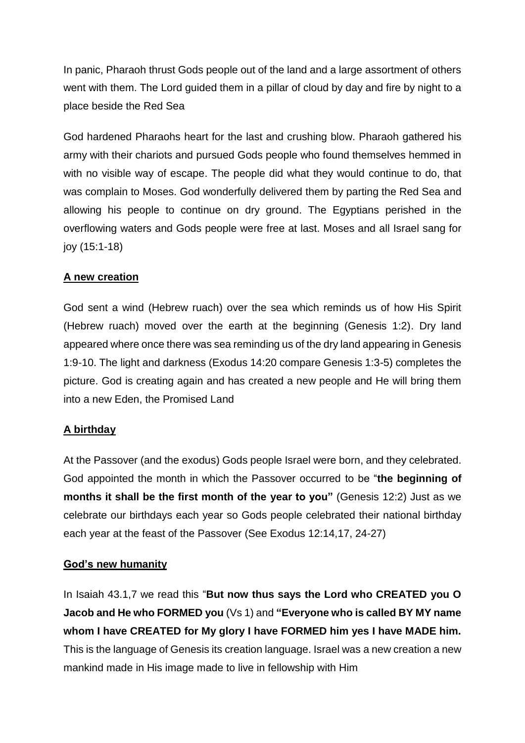In panic, Pharaoh thrust Gods people out of the land and a large assortment of others went with them. The Lord guided them in a pillar of cloud by day and fire by night to a place beside the Red Sea

God hardened Pharaohs heart for the last and crushing blow. Pharaoh gathered his army with their chariots and pursued Gods people who found themselves hemmed in with no visible way of escape. The people did what they would continue to do, that was complain to Moses. God wonderfully delivered them by parting the Red Sea and allowing his people to continue on dry ground. The Egyptians perished in the overflowing waters and Gods people were free at last. Moses and all Israel sang for joy (15:1-18)

## **A new creation**

God sent a wind (Hebrew ruach) over the sea which reminds us of how His Spirit (Hebrew ruach) moved over the earth at the beginning (Genesis 1:2). Dry land appeared where once there was sea reminding us of the dry land appearing in Genesis 1:9-10. The light and darkness (Exodus 14:20 compare Genesis 1:3-5) completes the picture. God is creating again and has created a new people and He will bring them into a new Eden, the Promised Land

## **A birthday**

At the Passover (and the exodus) Gods people Israel were born, and they celebrated. God appointed the month in which the Passover occurred to be "**the beginning of months it shall be the first month of the year to you"** (Genesis 12:2) Just as we celebrate our birthdays each year so Gods people celebrated their national birthday each year at the feast of the Passover (See Exodus 12:14,17, 24-27)

## **God's new humanity**

In Isaiah 43.1,7 we read this "**But now thus says the Lord who CREATED you O Jacob and He who FORMED you** (Vs 1) and **"Everyone who is called BY MY name whom I have CREATED for My glory I have FORMED him yes I have MADE him.**  This is the language of Genesis its creation language. Israel was a new creation a new mankind made in His image made to live in fellowship with Him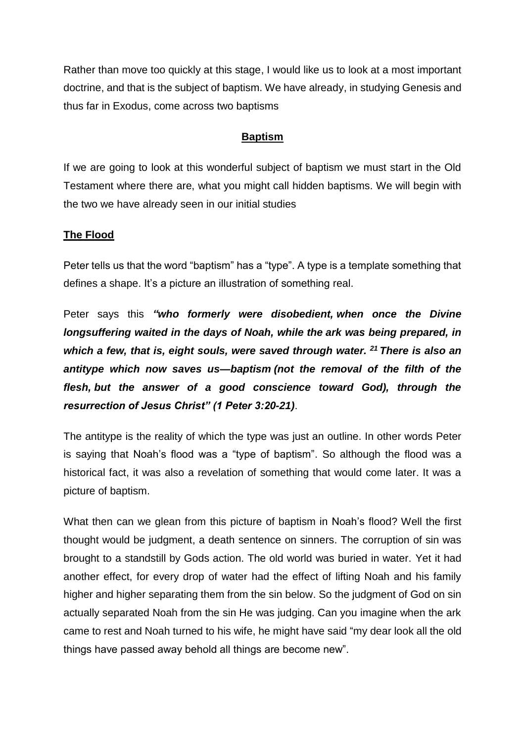Rather than move too quickly at this stage, I would like us to look at a most important doctrine, and that is the subject of baptism. We have already, in studying Genesis and thus far in Exodus, come across two baptisms

#### **Baptism**

If we are going to look at this wonderful subject of baptism we must start in the Old Testament where there are, what you might call hidden baptisms. We will begin with the two we have already seen in our initial studies

### **The Flood**

Peter tells us that the word "baptism" has a "type". A type is a template something that defines a shape. It's a picture an illustration of something real.

Peter says this *"who formerly were disobedient, when once the Divine longsuffering waited in the days of Noah, while the ark was being prepared, in which a few, that is, eight souls, were saved through water. <sup>21</sup> There is also an antitype which now saves us—baptism (not the removal of the filth of the flesh, but the answer of a good conscience toward God), through the resurrection of Jesus Christ" (1 Peter 3:20-21)*.

The antitype is the reality of which the type was just an outline. In other words Peter is saying that Noah's flood was a "type of baptism". So although the flood was a historical fact, it was also a revelation of something that would come later. It was a picture of baptism.

What then can we glean from this picture of baptism in Noah's flood? Well the first thought would be judgment, a death sentence on sinners. The corruption of sin was brought to a standstill by Gods action. The old world was buried in water. Yet it had another effect, for every drop of water had the effect of lifting Noah and his family higher and higher separating them from the sin below. So the judgment of God on sin actually separated Noah from the sin He was judging. Can you imagine when the ark came to rest and Noah turned to his wife, he might have said "my dear look all the old things have passed away behold all things are become new".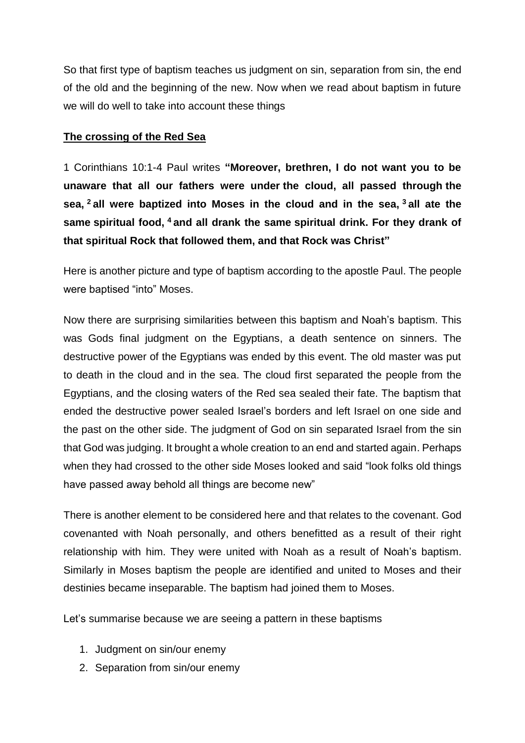So that first type of baptism teaches us judgment on sin, separation from sin, the end of the old and the beginning of the new. Now when we read about baptism in future we will do well to take into account these things

### **The crossing of the Red Sea**

1 Corinthians 10:1-4 Paul writes **"Moreover, brethren, I do not want you to be unaware that all our fathers were under the cloud, all passed through the sea, <sup>2</sup> all were baptized into Moses in the cloud and in the sea, <sup>3</sup> all ate the same spiritual food, <sup>4</sup> and all drank the same spiritual drink. For they drank of that spiritual Rock that followed them, and that Rock was Christ"**

Here is another picture and type of baptism according to the apostle Paul. The people were baptised "into" Moses.

Now there are surprising similarities between this baptism and Noah's baptism. This was Gods final judgment on the Egyptians, a death sentence on sinners. The destructive power of the Egyptians was ended by this event. The old master was put to death in the cloud and in the sea. The cloud first separated the people from the Egyptians, and the closing waters of the Red sea sealed their fate. The baptism that ended the destructive power sealed Israel's borders and left Israel on one side and the past on the other side. The judgment of God on sin separated Israel from the sin that God was judging. It brought a whole creation to an end and started again. Perhaps when they had crossed to the other side Moses looked and said "look folks old things have passed away behold all things are become new"

There is another element to be considered here and that relates to the covenant. God covenanted with Noah personally, and others benefitted as a result of their right relationship with him. They were united with Noah as a result of Noah's baptism. Similarly in Moses baptism the people are identified and united to Moses and their destinies became inseparable. The baptism had joined them to Moses.

Let's summarise because we are seeing a pattern in these baptisms

- 1. Judgment on sin/our enemy
- 2. Separation from sin/our enemy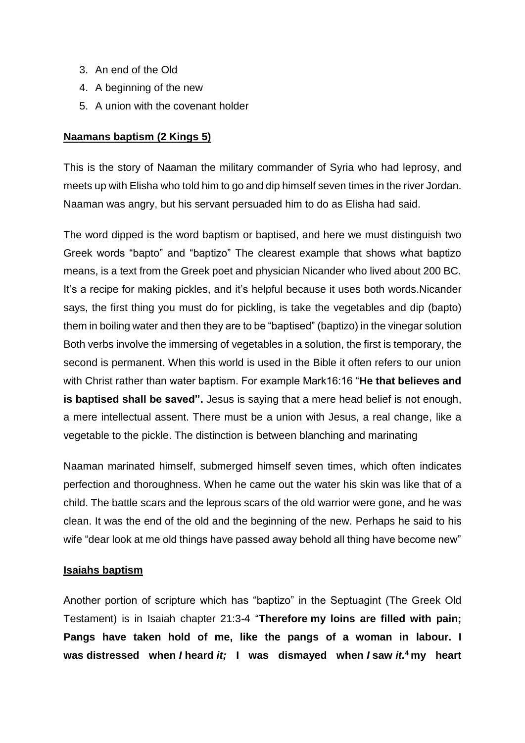- 3. An end of the Old
- 4. A beginning of the new
- 5. A union with the covenant holder

### **Naamans baptism (2 Kings 5)**

This is the story of Naaman the military commander of Syria who had leprosy, and meets up with Elisha who told him to go and dip himself seven times in the river Jordan. Naaman was angry, but his servant persuaded him to do as Elisha had said.

The word dipped is the word baptism or baptised, and here we must distinguish two Greek words "bapto" and "baptizo" The clearest example that shows what baptizo means, is a text from the Greek poet and physician Nicander who lived about 200 BC. It's a recipe for making pickles, and it's helpful because it uses both words.Nicander says, the first thing you must do for pickling, is take the vegetables and dip (bapto) them in boiling water and then they are to be "baptised" (baptizo) in the vinegar solution Both verbs involve the immersing of vegetables in a solution, the first is temporary, the second is permanent. When this world is used in the Bible it often refers to our union with Christ rather than water baptism. For example Mark16:16 "**He that believes and is baptised shall be saved".** Jesus is saying that a mere head belief is not enough, a mere intellectual assent. There must be a union with Jesus, a real change, like a vegetable to the pickle. The distinction is between blanching and marinating

Naaman marinated himself, submerged himself seven times, which often indicates perfection and thoroughness. When he came out the water his skin was like that of a child. The battle scars and the leprous scars of the old warrior were gone, and he was clean. It was the end of the old and the beginning of the new. Perhaps he said to his wife "dear look at me old things have passed away behold all thing have become new"

#### **Isaiahs baptism**

Another portion of scripture which has "baptizo" in the Septuagint (The Greek Old Testament) is in Isaiah chapter 21:3-4 "**Therefore my loins are filled with pain; Pangs have taken hold of me, like the pangs of a woman in labour. I was distressed when** *I* **heard** *it;* **I was dismayed when** *I* **saw** *it.***<sup>4</sup> my heart**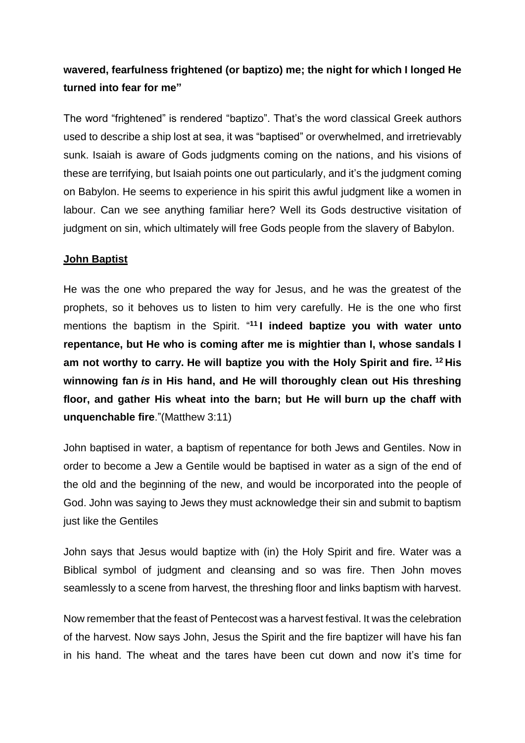# **wavered, fearfulness frightened (or baptizo) me; the night for which I longed He turned into fear for me"**

The word "frightened" is rendered "baptizo". That's the word classical Greek authors used to describe a ship lost at sea, it was "baptised" or overwhelmed, and irretrievably sunk. Isaiah is aware of Gods judgments coming on the nations, and his visions of these are terrifying, but Isaiah points one out particularly, and it's the judgment coming on Babylon. He seems to experience in his spirit this awful judgment like a women in labour. Can we see anything familiar here? Well its Gods destructive visitation of judgment on sin, which ultimately will free Gods people from the slavery of Babylon.

### **John Baptist**

He was the one who prepared the way for Jesus, and he was the greatest of the prophets, so it behoves us to listen to him very carefully. He is the one who first mentions the baptism in the Spirit. " **<sup>11</sup> I indeed baptize you with water unto repentance, but He who is coming after me is mightier than I, whose sandals I am not worthy to carry. He will baptize you with the Holy Spirit and fire. <sup>12</sup> His winnowing fan** *is* **in His hand, and He will thoroughly clean out His threshing floor, and gather His wheat into the barn; but He will burn up the chaff with unquenchable fire**."(Matthew 3:11)

John baptised in water, a baptism of repentance for both Jews and Gentiles. Now in order to become a Jew a Gentile would be baptised in water as a sign of the end of the old and the beginning of the new, and would be incorporated into the people of God. John was saying to Jews they must acknowledge their sin and submit to baptism just like the Gentiles

John says that Jesus would baptize with (in) the Holy Spirit and fire. Water was a Biblical symbol of judgment and cleansing and so was fire. Then John moves seamlessly to a scene from harvest, the threshing floor and links baptism with harvest.

Now remember that the feast of Pentecost was a harvest festival. It was the celebration of the harvest. Now says John, Jesus the Spirit and the fire baptizer will have his fan in his hand. The wheat and the tares have been cut down and now it's time for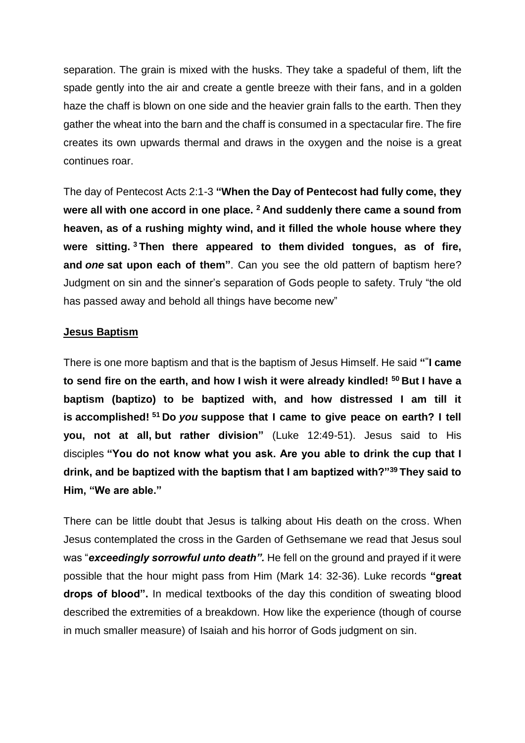separation. The grain is mixed with the husks. They take a spadeful of them, lift the spade gently into the air and create a gentle breeze with their fans, and in a golden haze the chaff is blown on one side and the heavier grain falls to the earth. Then they gather the wheat into the barn and the chaff is consumed in a spectacular fire. The fire creates its own upwards thermal and draws in the oxygen and the noise is a great continues roar.

The day of Pentecost Acts 2:1-3 **"When the Day of Pentecost had fully come, they were all with one accord in one place. <sup>2</sup> And suddenly there came a sound from heaven, as of a rushing mighty wind, and it filled the whole house where they were sitting. <sup>3</sup> Then there appeared to them divided tongues, as of fire, and** *one* **sat upon each of them"**. Can you see the old pattern of baptism here? Judgment on sin and the sinner's separation of Gods people to safety. Truly "the old has passed away and behold all things have become new"

#### **Jesus Baptism**

There is one more baptism and that is the baptism of Jesus Himself. He said **" " I came to send fire on the earth, and how I wish it were already kindled! <sup>50</sup> But I have a baptism (baptizo) to be baptized with, and how distressed I am till it is accomplished! <sup>51</sup> Do** *you* **suppose that I came to give peace on earth? I tell you, not at all, but rather division"** (Luke 12:49-51). Jesus said to His disciples **"You do not know what you ask. Are you able to drink the cup that I drink, and be baptized with the baptism that I am baptized with?"<sup>39</sup> They said to Him, "We are able."**

There can be little doubt that Jesus is talking about His death on the cross. When Jesus contemplated the cross in the Garden of Gethsemane we read that Jesus soul was "*exceedingly sorrowful unto death".* He fell on the ground and prayed if it were possible that the hour might pass from Him (Mark 14: 32-36). Luke records **"great drops of blood".** In medical textbooks of the day this condition of sweating blood described the extremities of a breakdown. How like the experience (though of course in much smaller measure) of Isaiah and his horror of Gods judgment on sin.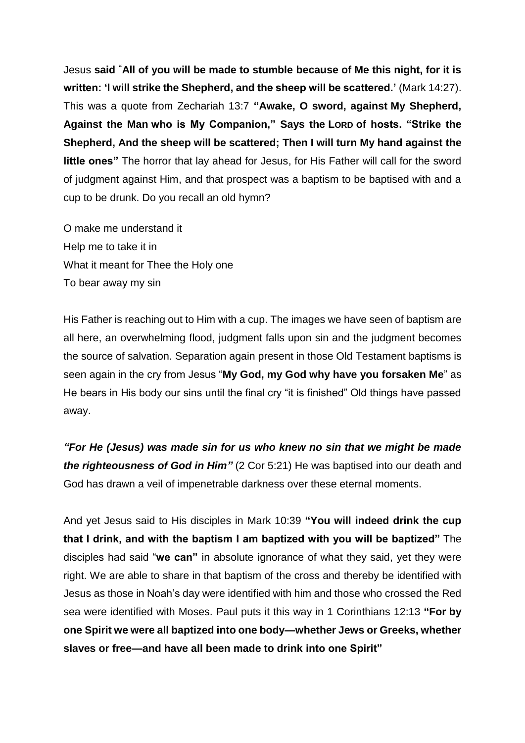Jesus **said "All of you will be made to stumble because of Me this night, for it is written: 'I will strike the Shepherd, and the sheep will be scattered.'** (Mark 14:27). This was a quote from Zechariah 13:7 **"Awake, O sword, against My Shepherd, Against the Man who is My Companion," Says the LORD of hosts. "Strike the Shepherd, And the sheep will be scattered; Then I will turn My hand against the little ones"** The horror that lay ahead for Jesus, for His Father will call for the sword of judgment against Him, and that prospect was a baptism to be baptised with and a cup to be drunk. Do you recall an old hymn?

O make me understand it Help me to take it in What it meant for Thee the Holy one To bear away my sin

His Father is reaching out to Him with a cup. The images we have seen of baptism are all here, an overwhelming flood, judgment falls upon sin and the judgment becomes the source of salvation. Separation again present in those Old Testament baptisms is seen again in the cry from Jesus "**My God, my God why have you forsaken Me**" as He bears in His body our sins until the final cry "it is finished" Old things have passed away.

*"For He (Jesus) was made sin for us who knew no sin that we might be made the righteousness of God in Him"* (2 Cor 5:21) He was baptised into our death and God has drawn a veil of impenetrable darkness over these eternal moments.

And yet Jesus said to His disciples in Mark 10:39 **"You will indeed drink the cup that I drink, and with the baptism I am baptized with you will be baptized"** The disciples had said "**we can"** in absolute ignorance of what they said, yet they were right. We are able to share in that baptism of the cross and thereby be identified with Jesus as those in Noah's day were identified with him and those who crossed the Red sea were identified with Moses. Paul puts it this way in 1 Corinthians 12:13 **"For by one Spirit we were all baptized into one body—whether Jews or Greeks, whether slaves or free—and have all been made to drink into one Spirit"**